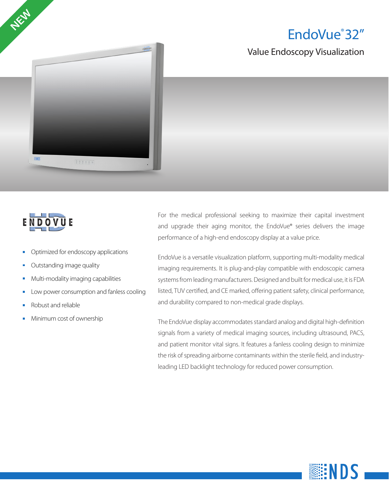

Value Endoscopy Visualization





- Optimized for endoscopy applications
- Outstanding image quality
- Multi-modality imaging capabilities
- Low power consumption and fanless cooling
- Robust and reliable
- Minimum cost of ownership

For the medical professional seeking to maximize their capital investment and upgrade their aging monitor, the EndoVue® series delivers the image performance of a high-end endoscopy display at a value price.

EndoVue is a versatile visualization platform, supporting multi-modality medical imaging requirements. It is plug-and-play compatible with endoscopic camera systems from leading manufacturers. Designed and built for medical use, it is FDA listed, TUV certified, and CE marked, offering patient safety, clinical performance, and durability compared to non-medical grade displays.

The EndoVue display accommodates standard analog and digital high-definition signals from a variety of medical imaging sources, including ultrasound, PACS, and patient monitor vital signs. It features a fanless cooling design to minimize the risk of spreading airborne contaminants within the sterile field, and industryleading LED backlight technology for reduced power consumption.